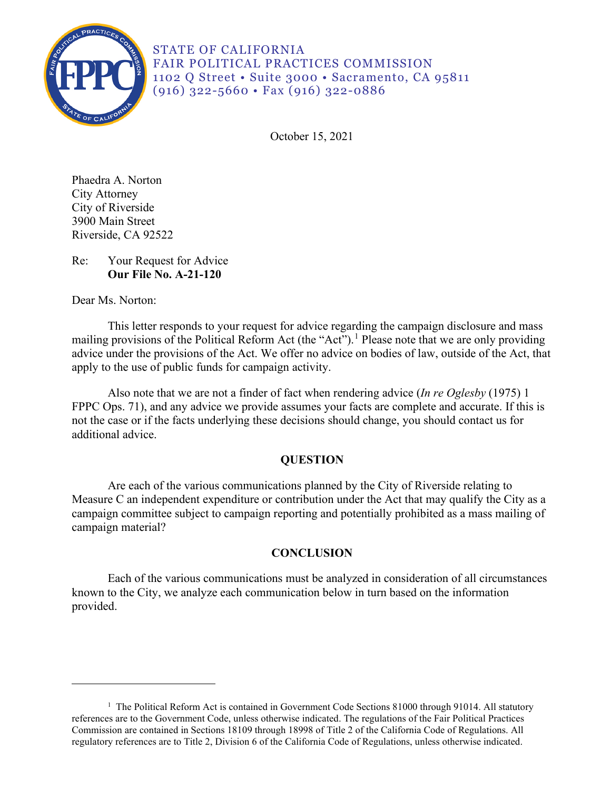

STATE OF CALIFORNIA FAIR POLITICAL PRACTICES COMMISSION 1102 Q Street • Suite 3000 • Sacramento, CA 95811 (916) 322-5660 • Fax (916) 322-0886

October 15, 2021

3900 Main Street Phaedra A. Norton City Attorney City of Riverside Riverside, CA 92522

# Re: Your Request for Advice **Our File No. A-21-120**

Dear Ms. Norton:

This letter responds to your request for advice regarding the campaign disclosure and mass mailing provisions of the Political Reform Act (the "Act").<sup>[1](#page-0-0)</sup> Please note that we are only providing advice under the provisions of the Act. We offer no advice on bodies of law, outside of the Act, that apply to the use of public funds for campaign activity.

 FPPC Ops. 71), and any advice we provide assumes your facts are complete and accurate. If this is Also note that we are not a finder of fact when rendering advice (*In re Oglesby* (1975) 1 not the case or if the facts underlying these decisions should change, you should contact us for additional advice.

## **QUESTION**

Are each of the various communications planned by the City of Riverside relating to Measure C an independent expenditure or contribution under the Act that may qualify the City as a campaign committee subject to campaign reporting and potentially prohibited as a mass mailing of campaign material?

## **CONCLUSION**

Each of the various communications must be analyzed in consideration of all circumstances known to the City, we analyze each communication below in turn based on the information provided.

<span id="page-0-0"></span><sup>&</sup>lt;sup>1</sup> The Political Reform Act is contained in Government Code Sections 81000 through 91014. All statutory references are to the Government Code, unless otherwise indicated. The regulations of the Fair Political Practices Commission are contained in Sections 18109 through 18998 of Title 2 of the California Code of Regulations. All regulatory references are to Title 2, Division 6 of the California Code of Regulations, unless otherwise indicated.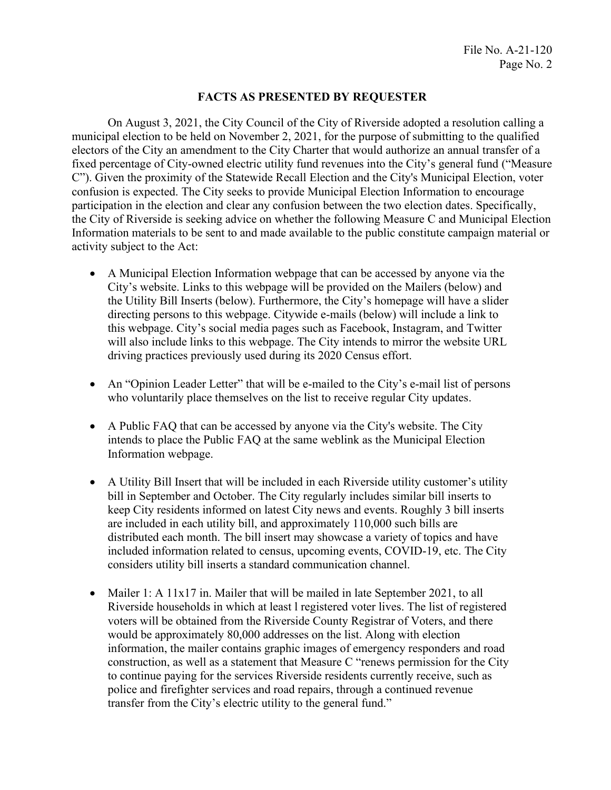### **FACTS AS PRESENTED BY REQUESTER**

On August 3, 2021, the City Council of the City of Riverside adopted a resolution calling a municipal election to be held on November 2, 2021, for the purpose of submitting to the qualified electors of the City an amendment to the City Charter that would authorize an annual transfer of a fixed percentage of City-owned electric utility fund revenues into the City's general fund ("Measure C"). Given the proximity of the Statewide Recall Election and the City's Municipal Election, voter confusion is expected. The City seeks to provide Municipal Election Information to encourage participation in the election and clear any confusion between the two election dates. Specifically, the City of Riverside is seeking advice on whether the following Measure C and Municipal Election Information materials to be sent to and made available to the public constitute campaign material or activity subject to the Act:

- A Municipal Election Information webpage that can be accessed by anyone via the City's website. Links to this webpage will be provided on the Mailers (below) and the Utility Bill Inserts (below). Furthermore, the City's homepage will have a slider directing persons to this webpage. Citywide e-mails (below) will include a link to this webpage. City's social media pages such as Facebook, Instagram, and Twitter will also include links to this webpage. The City intends to mirror the website URL driving practices previously used during its 2020 Census effort.
- An "Opinion Leader Letter" that will be e-mailed to the City's e-mail list of persons who voluntarily place themselves on the list to receive regular City updates.
- intends to place the Public FAQ at the same weblink as the Municipal Election • A Public FAQ that can be accessed by anyone via the City's website. The City Information webpage.
- distributed each month. The bill insert may showcase a variety of topics and have • A Utility Bill Insert that will be included in each Riverside utility customer's utility bill in September and October. The City regularly includes similar bill inserts to keep City residents informed on latest City news and events. Roughly 3 bill inserts are included in each utility bill, and approximately 110,000 such bills are included information related to census, upcoming events, COVID-19, etc. The City considers utility bill inserts a standard communication channel.
- Mailer 1: A 11x17 in. Mailer that will be mailed in late September 2021, to all Riverside households in which at least l registered voter lives. The list of registered voters will be obtained from the Riverside County Registrar of Voters, and there would be approximately 80,000 addresses on the list. Along with election information, the mailer contains graphic images of emergency responders and road construction, as well as a statement that Measure C "renews permission for the City to continue paying for the services Riverside residents currently receive, such as police and firefighter services and road repairs, through a continued revenue transfer from the City's electric utility to the general fund."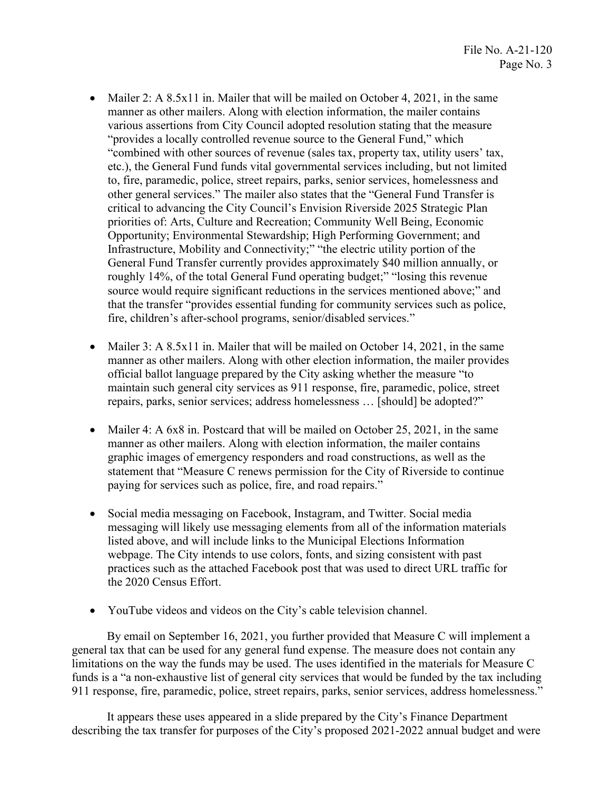- Mailer 2: A 8.5x11 in. Mailer that will be mailed on October 4, 2021, in the same other general services." The mailer also states that the "General Fund Transfer is manner as other mailers. Along with election information, the mailer contains various assertions from City Council adopted resolution stating that the measure "provides a locally controlled revenue source to the General Fund," which "combined with other sources of revenue (sales tax, property tax, utility users' tax, etc.), the General Fund funds vital governmental services including, but not limited to, fire, paramedic, police, street repairs, parks, senior services, homelessness and critical to advancing the City Council's Envision Riverside 2025 Strategic Plan priorities of: Arts, Culture and Recreation; Community Well Being, Economic Opportunity; Environmental Stewardship; High Performing Government; and Infrastructure, Mobility and Connectivity;" "the electric utility portion of the General Fund Transfer currently provides approximately \$40 million annually, or roughly 14%, of the total General Fund operating budget;" "losing this revenue source would require significant reductions in the services mentioned above;" and that the transfer "provides essential funding for community services such as police, fire, children's after-school programs, senior/disabled services."
- Mailer 3: A 8.5x11 in. Mailer that will be mailed on October 14, 2021, in the same manner as other mailers. Along with other election information, the mailer provides official ballot language prepared by the City asking whether the measure "to maintain such general city services as 911 response, fire, paramedic, police, street repairs, parks, senior services; address homelessness … [should] be adopted?"
- graphic images of emergency responders and road constructions, as well as the • Mailer 4: A  $6x8$  in. Postcard that will be mailed on October 25, 2021, in the same manner as other mailers. Along with election information, the mailer contains statement that "Measure C renews permission for the City of Riverside to continue paying for services such as police, fire, and road repairs."
- Social media messaging on Facebook, Instagram, and Twitter. Social media messaging will likely use messaging elements from all of the information materials listed above, and will include links to the Municipal Elections Information webpage. The City intends to use colors, fonts, and sizing consistent with past practices such as the attached Facebook post that was used to direct URL traffic for the 2020 Census Effort.
- YouTube videos and videos on the City's cable television channel.

 By email on September 16, 2021, you further provided that Measure C will implement a general tax that can be used for any general fund expense. The measure does not contain any limitations on the way the funds may be used. The uses identified in the materials for Measure C funds is a "a non-exhaustive list of general city services that would be funded by the tax including 911 response, fire, paramedic, police, street repairs, parks, senior services, address homelessness."

It appears these uses appeared in a slide prepared by the City's Finance Department describing the tax transfer for purposes of the City's proposed 2021-2022 annual budget and were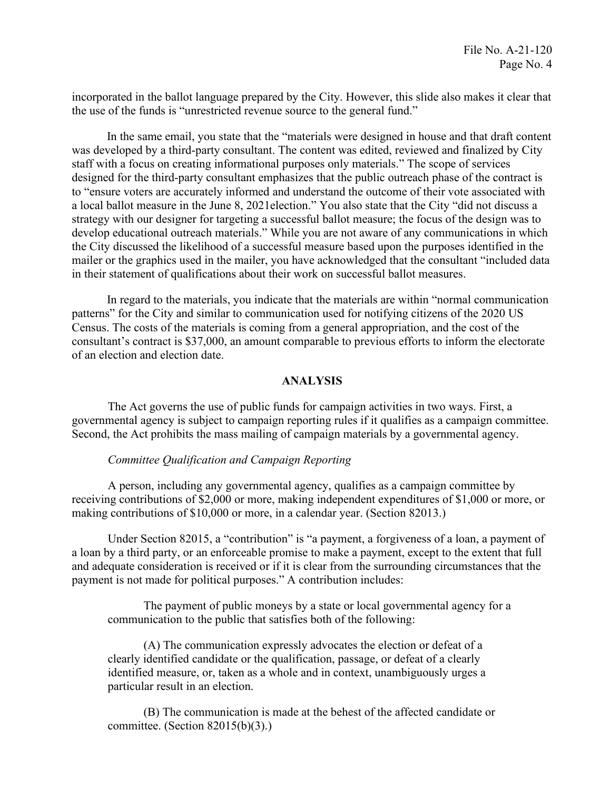the use of the funds is "unrestricted revenue source to the general fund." incorporated in the ballot language prepared by the City. However, this slide also makes it clear that

 designed for the third-party consultant emphasizes that the public outreach phase of the contract is In the same email, you state that the "materials were designed in house and that draft content was developed by a third-party consultant. The content was edited, reviewed and finalized by City staff with a focus on creating informational purposes only materials." The scope of services to "ensure voters are accurately informed and understand the outcome of their vote associated with a local ballot measure in the June 8, 2021election." You also state that the City "did not discuss a strategy with our designer for targeting a successful ballot measure; the focus of the design was to develop educational outreach materials." While you are not aware of any communications in which the City discussed the likelihood of a successful measure based upon the purposes identified in the mailer or the graphics used in the mailer, you have acknowledged that the consultant "included data in their statement of qualifications about their work on successful ballot measures.

 In regard to the materials, you indicate that the materials are within "normal communication patterns" for the City and similar to communication used for notifying citizens of the 2020 US Census. The costs of the materials is coming from a general appropriation, and the cost of the consultant's contract is \$37,000, an amount comparable to previous efforts to inform the electorate of an election and election date.

### **ANALYSIS**

The Act governs the use of public funds for campaign activities in two ways. First, a governmental agency is subject to campaign reporting rules if it qualifies as a campaign committee. Second, the Act prohibits the mass mailing of campaign materials by a governmental agency.

#### *Committee Qualification and Campaign Reporting*

making contributions of \$10,000 or more, in a calendar year. (Section 82013.) A person, including any governmental agency, qualifies as a campaign committee by receiving contributions of \$2,000 or more, making independent expenditures of \$1,000 or more, or

Under Section 82015, a "contribution" is "a payment, a forgiveness of a loan, a payment of a loan by a third party, or an enforceable promise to make a payment, except to the extent that full and adequate consideration is received or if it is clear from the surrounding circumstances that the payment is not made for political purposes." A contribution includes:

communication to the public that satisfies both of the following: The payment of public moneys by a state or local governmental agency for a

 $(A)$  The communication expressly advocates the election or defeat of a clearly identified candidate or the qualification, passage, or defeat of a clearly identified measure, or, taken as a whole and in context, unambiguously urges a particular result in an election.

 (B) The communication is made at the behest of the affected candidate or committee. (Section 82015(b)(3).)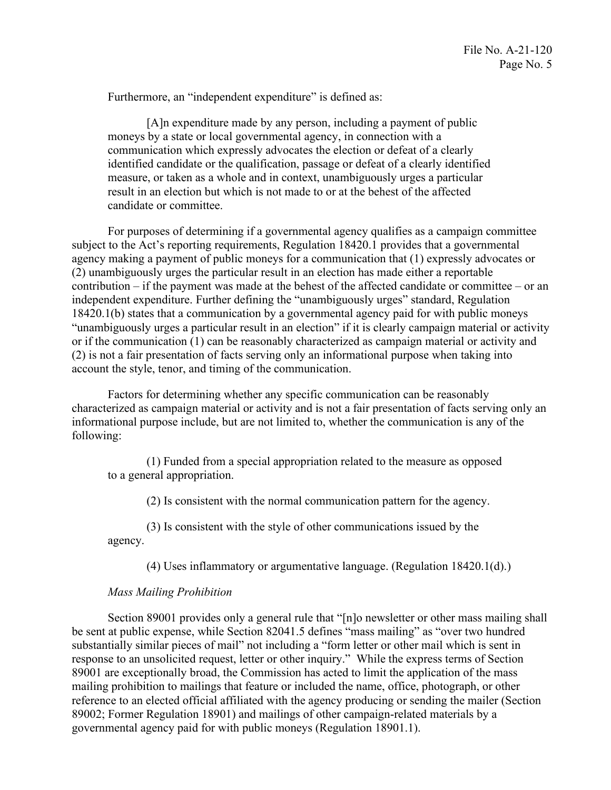Furthermore, an "independent expenditure" is defined as:

 [A]n expenditure made by any person, including a payment of public moneys by a state or local governmental agency, in connection with a communication which expressly advocates the election or defeat of a clearly identified candidate or the qualification, passage or defeat of a clearly identified measure, or taken as a whole and in context, unambiguously urges a particular result in an election but which is not made to or at the behest of the affected candidate or committee.

 "unambiguously urges a particular result in an election" if it is clearly campaign material or activity or if the communication (1) can be reasonably characterized as campaign material or activity and For purposes of determining if a governmental agency qualifies as a campaign committee subject to the Act's reporting requirements, Regulation 18420.1 provides that a governmental agency making a payment of public moneys for a communication that (1) expressly advocates or (2) unambiguously urges the particular result in an election has made either a reportable contribution – if the payment was made at the behest of the affected candidate or committee – or an independent expenditure. Further defining the "unambiguously urges" standard, Regulation 18420.1(b) states that a communication by a governmental agency paid for with public moneys (2) is not a fair presentation of facts serving only an informational purpose when taking into account the style, tenor, and timing of the communication.

Factors for determining whether any specific communication can be reasonably characterized as campaign material or activity and is not a fair presentation of facts serving only an informational purpose include, but are not limited to, whether the communication is any of the following:

 (1) Funded from a special appropriation related to the measure as opposed to a general appropriation.

(2) Is consistent with the normal communication pattern for the agency.

 (3) Is consistent with the style of other communications issued by the agency.

(4) Uses inflammatory or argumentative language. (Regulation 18420.1(d).)

### *Mass Mailing Prohibition*

Section 89001 provides only a general rule that "[n]o newsletter or other mass mailing shall be sent at public expense, while Section 82041.5 defines "mass mailing" as "over two hundred substantially similar pieces of mail" not including a "form letter or other mail which is sent in response to an unsolicited request, letter or other inquiry." While the express terms of Section 89001 are exceptionally broad, the Commission has acted to limit the application of the mass mailing prohibition to mailings that feature or included the name, office, photograph, or other reference to an elected official affiliated with the agency producing or sending the mailer (Section 89002; Former Regulation 18901) and mailings of other campaign-related materials by a governmental agency paid for with public moneys (Regulation 18901.1).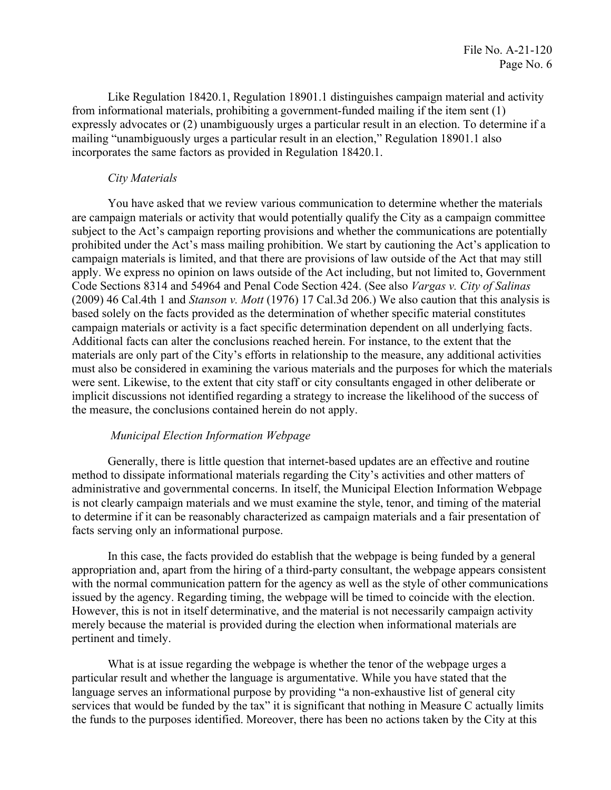Like Regulation 18420.1, Regulation 18901.1 distinguishes campaign material and activity from informational materials, prohibiting a government-funded mailing if the item sent (1) expressly advocates or (2) unambiguously urges a particular result in an election. To determine if a mailing "unambiguously urges a particular result in an election," Regulation 18901.1 also incorporates the same factors as provided in Regulation 18420.1.

### *City Materials*

You have asked that we review various communication to determine whether the materials are campaign materials or activity that would potentially qualify the City as a campaign committee subject to the Act's campaign reporting provisions and whether the communications are potentially prohibited under the Act's mass mailing prohibition. We start by cautioning the Act's application to campaign materials is limited, and that there are provisions of law outside of the Act that may still apply. We express no opinion on laws outside of the Act including, but not limited to, Government Code Sections 8314 and 54964 and Penal Code Section 424. (See also *Vargas v. City of Salinas*  (2009) 46 Cal.4th 1 and *Stanson v. Mott* (1976) 17 Cal.3d 206.) We also caution that this analysis is based solely on the facts provided as the determination of whether specific material constitutes campaign materials or activity is a fact specific determination dependent on all underlying facts. Additional facts can alter the conclusions reached herein. For instance, to the extent that the materials are only part of the City's efforts in relationship to the measure, any additional activities must also be considered in examining the various materials and the purposes for which the materials were sent. Likewise, to the extent that city staff or city consultants engaged in other deliberate or implicit discussions not identified regarding a strategy to increase the likelihood of the success of the measure, the conclusions contained herein do not apply.

#### *Municipal Election Information Webpage*

Generally, there is little question that internet-based updates are an effective and routine method to dissipate informational materials regarding the City's activities and other matters of administrative and governmental concerns. In itself, the Municipal Election Information Webpage is not clearly campaign materials and we must examine the style, tenor, and timing of the material to determine if it can be reasonably characterized as campaign materials and a fair presentation of facts serving only an informational purpose.

 appropriation and, apart from the hiring of a third-party consultant, the webpage appears consistent In this case, the facts provided do establish that the webpage is being funded by a general with the normal communication pattern for the agency as well as the style of other communications issued by the agency. Regarding timing, the webpage will be timed to coincide with the election. However, this is not in itself determinative, and the material is not necessarily campaign activity merely because the material is provided during the election when informational materials are pertinent and timely.

What is at issue regarding the webpage is whether the tenor of the webpage urges a particular result and whether the language is argumentative. While you have stated that the language serves an informational purpose by providing "a non-exhaustive list of general city services that would be funded by the tax" it is significant that nothing in Measure C actually limits the funds to the purposes identified. Moreover, there has been no actions taken by the City at this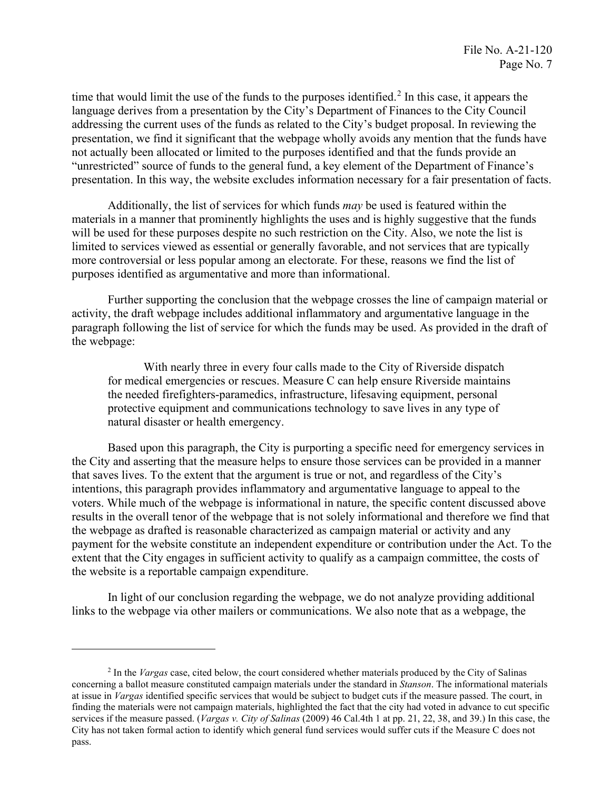language derives from a presentation by the City's Department of Finances to the City Council time that would limit the use of the funds to the purposes identified.<sup>[2](#page-6-0)</sup> In this case, it appears the addressing the current uses of the funds as related to the City's budget proposal. In reviewing the presentation, we find it significant that the webpage wholly avoids any mention that the funds have not actually been allocated or limited to the purposes identified and that the funds provide an "unrestricted" source of funds to the general fund, a key element of the Department of Finance's

 presentation. In this way, the website excludes information necessary for a fair presentation of facts. Additionally, the list of services for which funds *may* be used is featured within the materials in a manner that prominently highlights the uses and is highly suggestive that the funds will be used for these purposes despite no such restriction on the City. Also, we note the list is limited to services viewed as essential or generally favorable, and not services that are typically more controversial or less popular among an electorate. For these, reasons we find the list of purposes identified as argumentative and more than informational.

Further supporting the conclusion that the webpage crosses the line of campaign material or activity, the draft webpage includes additional inflammatory and argumentative language in the paragraph following the list of service for which the funds may be used. As provided in the draft of the webpage:

natural disaster or health emergency. With nearly three in every four calls made to the City of Riverside dispatch for medical emergencies or rescues. Measure C can help ensure Riverside maintains the needed firefighters-paramedics, infrastructure, lifesaving equipment, personal protective equipment and communications technology to save lives in any type of

 results in the overall tenor of the webpage that is not solely informational and therefore we find that the webpage as drafted is reasonable characterized as campaign material or activity and any Based upon this paragraph, the City is purporting a specific need for emergency services in the City and asserting that the measure helps to ensure those services can be provided in a manner that saves lives. To the extent that the argument is true or not, and regardless of the City's intentions, this paragraph provides inflammatory and argumentative language to appeal to the voters. While much of the webpage is informational in nature, the specific content discussed above payment for the website constitute an independent expenditure or contribution under the Act. To the extent that the City engages in sufficient activity to qualify as a campaign committee, the costs of the website is a reportable campaign expenditure.

In light of our conclusion regarding the webpage, we do not analyze providing additional links to the webpage via other mailers or communications. We also note that as a webpage, the

<span id="page-6-0"></span> 2 In the *Vargas* case, cited below, the court considered whether materials produced by the City of Salinas services if the measure passed. (*Vargas v. City of Salinas* (2009) 46 Cal.4th 1 at pp. 21, 22, 38, and 39.) In this case, the pass. concerning a ballot measure constituted campaign materials under the standard in *Stanson*. The informational materials at issue in *Vargas* identified specific services that would be subject to budget cuts if the measure passed. The court, in finding the materials were not campaign materials, highlighted the fact that the city had voted in advance to cut specific City has not taken formal action to identify which general fund services would suffer cuts if the Measure C does not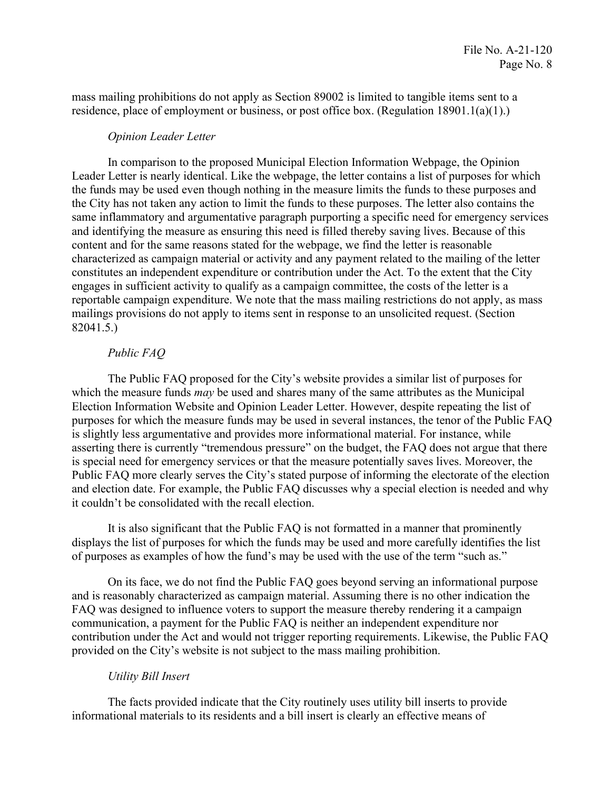residence, place of employment or business, or post office box. (Regulation 18901.1(a)(1).) mass mailing prohibitions do not apply as Section 89002 is limited to tangible items sent to a

#### *Opinion Leader Letter*

 same inflammatory and argumentative paragraph purporting a specific need for emergency services 82041.5.) In comparison to the proposed Municipal Election Information Webpage, the Opinion Leader Letter is nearly identical. Like the webpage, the letter contains a list of purposes for which the funds may be used even though nothing in the measure limits the funds to these purposes and the City has not taken any action to limit the funds to these purposes. The letter also contains the and identifying the measure as ensuring this need is filled thereby saving lives. Because of this content and for the same reasons stated for the webpage, we find the letter is reasonable characterized as campaign material or activity and any payment related to the mailing of the letter constitutes an independent expenditure or contribution under the Act. To the extent that the City engages in sufficient activity to qualify as a campaign committee, the costs of the letter is a reportable campaign expenditure. We note that the mass mailing restrictions do not apply, as mass mailings provisions do not apply to items sent in response to an unsolicited request. (Section

## *Public FAQ*

 which the measure funds *may* be used and shares many of the same attributes as the Municipal purposes for which the measure funds may be used in several instances, the tenor of the Public FAQ it couldn't be consolidated with the recall election. The Public FAQ proposed for the City's website provides a similar list of purposes for Election Information Website and Opinion Leader Letter. However, despite repeating the list of is slightly less argumentative and provides more informational material. For instance, while asserting there is currently "tremendous pressure" on the budget, the FAQ does not argue that there is special need for emergency services or that the measure potentially saves lives. Moreover, the Public FAQ more clearly serves the City's stated purpose of informing the electorate of the election and election date. For example, the Public FAQ discusses why a special election is needed and why

 of purposes as examples of how the fund's may be used with the use of the term "such as." It is also significant that the Public FAQ is not formatted in a manner that prominently displays the list of purposes for which the funds may be used and more carefully identifies the list

On its face, we do not find the Public FAQ goes beyond serving an informational purpose and is reasonably characterized as campaign material. Assuming there is no other indication the FAQ was designed to influence voters to support the measure thereby rendering it a campaign communication, a payment for the Public FAQ is neither an independent expenditure nor contribution under the Act and would not trigger reporting requirements. Likewise, the Public FAQ provided on the City's website is not subject to the mass mailing prohibition.

### *Utility Bill Insert*

 The facts provided indicate that the City routinely uses utility bill inserts to provide informational materials to its residents and a bill insert is clearly an effective means of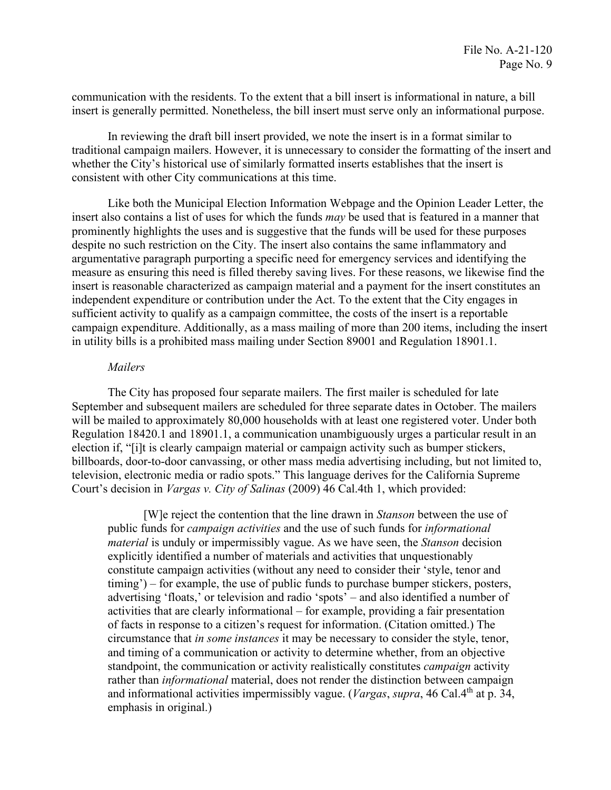communication with the residents. To the extent that a bill insert is informational in nature, a bill insert is generally permitted. Nonetheless, the bill insert must serve only an informational purpose.

In reviewing the draft bill insert provided, we note the insert is in a format similar to traditional campaign mailers. However, it is unnecessary to consider the formatting of the insert and whether the City's historical use of similarly formatted inserts establishes that the insert is consistent with other City communications at this time.

 Like both the Municipal Election Information Webpage and the Opinion Leader Letter, the insert also contains a list of uses for which the funds *may* be used that is featured in a manner that prominently highlights the uses and is suggestive that the funds will be used for these purposes despite no such restriction on the City. The insert also contains the same inflammatory and argumentative paragraph purporting a specific need for emergency services and identifying the measure as ensuring this need is filled thereby saving lives. For these reasons, we likewise find the insert is reasonable characterized as campaign material and a payment for the insert constitutes an independent expenditure or contribution under the Act. To the extent that the City engages in sufficient activity to qualify as a campaign committee, the costs of the insert is a reportable campaign expenditure. Additionally, as a mass mailing of more than 200 items, including the insert in utility bills is a prohibited mass mailing under Section 89001 and Regulation 18901.1.

#### *Mailers*

Court's decision in *Vargas v. City of Salinas* (2009) 46 Cal.4th 1, which provided: The City has proposed four separate mailers. The first mailer is scheduled for late September and subsequent mailers are scheduled for three separate dates in October. The mailers will be mailed to approximately 80,000 households with at least one registered voter. Under both Regulation 18420.1 and 18901.1, a communication unambiguously urges a particular result in an election if, "[i]t is clearly campaign material or campaign activity such as bumper stickers, billboards, door-to-door canvassing, or other mass media advertising including, but not limited to, television, electronic media or radio spots." This language derives for the California Supreme

 *material* is unduly or impermissibly vague. As we have seen, the *Stanson* decision [W]e reject the contention that the line drawn in *Stanson* between the use of public funds for *campaign activities* and the use of such funds for *informational*  explicitly identified a number of materials and activities that unquestionably constitute campaign activities (without any need to consider their 'style, tenor and timing') – for example, the use of public funds to purchase bumper stickers, posters, advertising 'floats,' or television and radio 'spots' – and also identified a number of activities that are clearly informational – for example, providing a fair presentation of facts in response to a citizen's request for information. (Citation omitted.) The circumstance that *in some instances* it may be necessary to consider the style, tenor, and timing of a communication or activity to determine whether, from an objective standpoint, the communication or activity realistically constitutes *campaign* activity rather than *informational* material, does not render the distinction between campaign and informational activities impermissibly vague. (*Vargas, supra,* 46 Cal.4<sup>th</sup> at p. 34, emphasis in original.)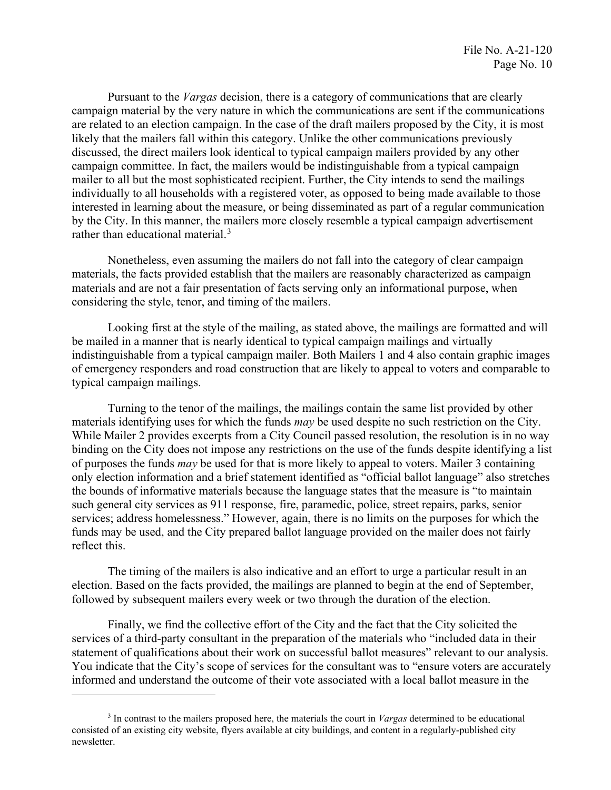are related to an election campaign. In the case of the draft mailers proposed by the City, it is most interested in learning about the measure, or being disseminated as part of a regular communication rather than educational material.<sup>3</sup> Pursuant to the *Vargas* decision, there is a category of communications that are clearly campaign material by the very nature in which the communications are sent if the communications likely that the mailers fall within this category. Unlike the other communications previously discussed, the direct mailers look identical to typical campaign mailers provided by any other campaign committee. In fact, the mailers would be indistinguishable from a typical campaign mailer to all but the most sophisticated recipient. Further, the City intends to send the mailings individually to all households with a registered voter, as opposed to being made available to those by the City. In this manner, the mailers more closely resemble a typical campaign advertisement

 materials, the facts provided establish that the mailers are reasonably characterized as campaign Nonetheless, even assuming the mailers do not fall into the category of clear campaign materials and are not a fair presentation of facts serving only an informational purpose, when considering the style, tenor, and timing of the mailers.

 be mailed in a manner that is nearly identical to typical campaign mailings and virtually Looking first at the style of the mailing, as stated above, the mailings are formatted and will indistinguishable from a typical campaign mailer. Both Mailers 1 and 4 also contain graphic images of emergency responders and road construction that are likely to appeal to voters and comparable to typical campaign mailings.

Turning to the tenor of the mailings, the mailings contain the same list provided by other materials identifying uses for which the funds *may* be used despite no such restriction on the City. While Mailer 2 provides excerpts from a City Council passed resolution, the resolution is in no way binding on the City does not impose any restrictions on the use of the funds despite identifying a list of purposes the funds *may* be used for that is more likely to appeal to voters. Mailer 3 containing only election information and a brief statement identified as "official ballot language" also stretches the bounds of informative materials because the language states that the measure is "to maintain such general city services as 911 response, fire, paramedic, police, street repairs, parks, senior services; address homelessness." However, again, there is no limits on the purposes for which the funds may be used, and the City prepared ballot language provided on the mailer does not fairly reflect this.

The timing of the mailers is also indicative and an effort to urge a particular result in an election. Based on the facts provided, the mailings are planned to begin at the end of September, followed by subsequent mailers every week or two through the duration of the election.

 services of a third-party consultant in the preparation of the materials who "included data in their You indicate that the City's scope of services for the consultant was to "ensure voters are accurately Finally, we find the collective effort of the City and the fact that the City solicited the statement of qualifications about their work on successful ballot measures" relevant to our analysis. informed and understand the outcome of their vote associated with a local ballot measure in the

<span id="page-9-0"></span><sup>3</sup> In contrast to the mailers proposed here, the materials the court in *Vargas* determined to be educational consisted of an existing city website, flyers available at city buildings, and content in a regularly-published city newsletter.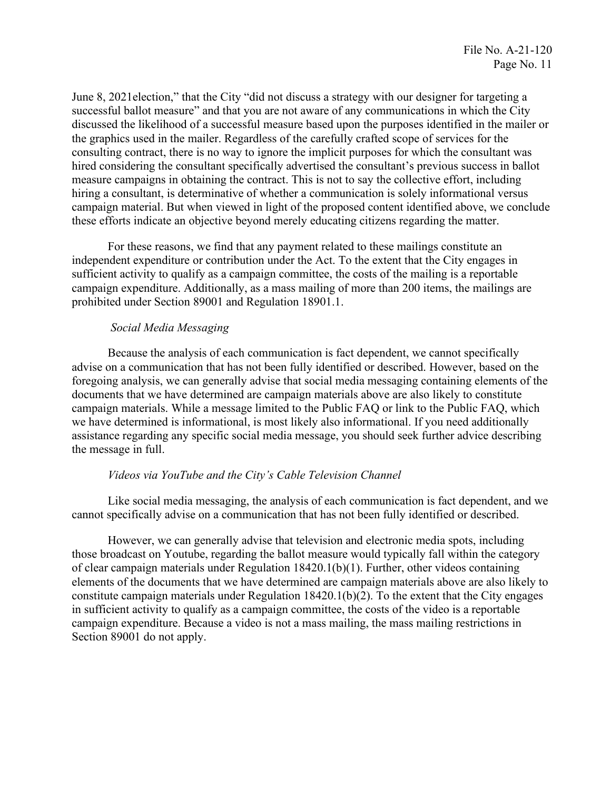these efforts indicate an objective beyond merely educating citizens regarding the matter. June 8, 2021election," that the City "did not discuss a strategy with our designer for targeting a successful ballot measure" and that you are not aware of any communications in which the City discussed the likelihood of a successful measure based upon the purposes identified in the mailer or the graphics used in the mailer. Regardless of the carefully crafted scope of services for the consulting contract, there is no way to ignore the implicit purposes for which the consultant was hired considering the consultant specifically advertised the consultant's previous success in ballot measure campaigns in obtaining the contract. This is not to say the collective effort, including hiring a consultant, is determinative of whether a communication is solely informational versus campaign material. But when viewed in light of the proposed content identified above, we conclude

For these reasons, we find that any payment related to these mailings constitute an independent expenditure or contribution under the Act. To the extent that the City engages in sufficient activity to qualify as a campaign committee, the costs of the mailing is a reportable campaign expenditure. Additionally, as a mass mailing of more than 200 items, the mailings are prohibited under Section 89001 and Regulation 18901.1.

### *Social Media Messaging*

 documents that we have determined are campaign materials above are also likely to constitute Because the analysis of each communication is fact dependent, we cannot specifically advise on a communication that has not been fully identified or described. However, based on the foregoing analysis, we can generally advise that social media messaging containing elements of the campaign materials. While a message limited to the Public FAQ or link to the Public FAQ, which we have determined is informational, is most likely also informational. If you need additionally assistance regarding any specific social media message, you should seek further advice describing the message in full.

### *Videos via YouTube and the City's Cable Television Channel*

Like social media messaging, the analysis of each communication is fact dependent, and we cannot specifically advise on a communication that has not been fully identified or described.

However, we can generally advise that television and electronic media spots, including those broadcast on Youtube, regarding the ballot measure would typically fall within the category of clear campaign materials under Regulation 18420.1(b)(1). Further, other videos containing elements of the documents that we have determined are campaign materials above are also likely to constitute campaign materials under Regulation  $18420.1(b)(2)$ . To the extent that the City engages in sufficient activity to qualify as a campaign committee, the costs of the video is a reportable campaign expenditure. Because a video is not a mass mailing, the mass mailing restrictions in Section 89001 do not apply.